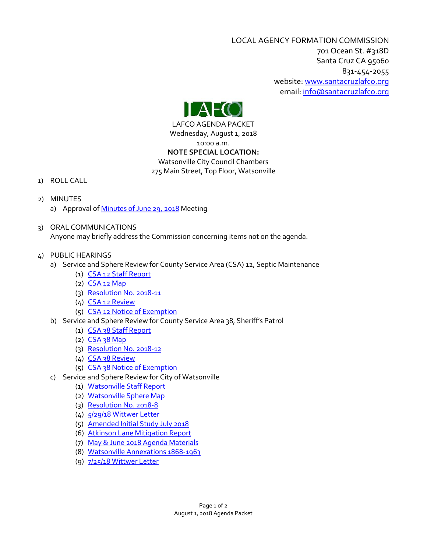LOCAL AGENCY FORMATION COMMISSION 701 Ocean St. #318D Santa Cruz CA 95060 831-454-2055 website: [www.santacruzlafco.org](http://www.santacruzlafco.org/) email[: info@santacruzlafco.org](mailto:info@santacruzlafco.org)



LAFCO AGENDA PACKET Wednesday, August 1, 2018 10:00 a.m. **NOTE SPECIAL LOCATION:**

Watsonville City Council Chambers

275 Main Street, Top Floor, Watsonville

- 1) ROLL CALL
- 2) MINUTES
	- a) Approval of [Minutes of June 29, 2018](http://www.santacruzlafco.org/wp-content/uploads/2018/08/6-29-18-Minutes.pdf) Meeting
- 3) ORAL COMMUNICATIONS Anyone may briefly address the Commission concerning items not on the agenda.
- 4) PUBLIC HEARINGS
	- a) Service and Sphere Review for County Service Area (CSA) 12, Septic Maintenance
		- (1) [CSA 12 Staff Report](http://www.santacruzlafco.org/wp-content/uploads/2018/07/4a1-CSA-12-Staff-Report.pdf)
		- $(2)$   $CSA$  12 Map
		- (3) [Resolution No. 2018-11](http://www.santacruzlafco.org/wp-content/uploads/2018/07/4a3-2018-11.pdf)
		- (4) [CSA 12 Review](http://www.santacruzlafco.org/wp-content/uploads/2018/07/4a4-CSA-12-Review.pdf)
		- (5) [CSA 12 Notice of Exemption](http://www.santacruzlafco.org/wp-content/uploads/2018/07/4a5-CSA-12-Notice-of-Exemption.pdf)
	- b) Service and Sphere Review for County Service Area 38, Sheriff's Patrol
		- (1) [CSA 38 Staff Report](http://www.santacruzlafco.org/wp-content/uploads/2018/07/4b1-CSA-38-Staff-Report.pdf)
		- $(2)$   $CSA$  38 Map
		- (3) [Resolution No. 2018-12](http://www.santacruzlafco.org/wp-content/uploads/2018/07/4b3-2018-12.pdf)
		- (4) [CSA 38 Review](http://www.santacruzlafco.org/wp-content/uploads/2018/07/4b4-CSA-38-Review.pdf)
		- (5) [CSA 38 Notice of Exemption](http://www.santacruzlafco.org/wp-content/uploads/2018/07/4b5-CSA-38-Notice-of-Exemption.pdf)
	- c) Service and Sphere Review for City of Watsonville
		- (1) [Watsonville Staff Report](http://www.santacruzlafco.org/wp-content/uploads/2018/07/4c1-Wats-Staff-Report.pdf)
		- (2) [Watsonville Sphere Map](http://www.santacruzlafco.org/wp-content/uploads/2018/07/4c2-Wats-SOI-Map.pdf)
		- (3) [Resolution No. 2018-8](http://www.santacruzlafco.org/wp-content/uploads/2018/07/4c3-2018-8.pdf)
		- (4) [5/29/18 Wittwer Letter](http://www.santacruzlafco.org/wp-content/uploads/2018/07/4c4-5-29-18-Wittwer-Letter.pdf)
		- (5) [Amended Initial Study July 2018](http://www.santacruzlafco.org/wp-content/uploads/2018/07/4c5-Amended-Initial-Study-July-2018.pdf)
		- (6) [Atkinson Lane Mitigation Report](http://www.santacruzlafco.org/wp-content/uploads/2018/07/4c6-Atkinson-Lane-Mitigation-Report.pdf)
		- (7) [May & June 2018 Agenda Materials](http://www.santacruzlafco.org/wp-content/uploads/2018/07/4c7-May-June-2018-Agenda-Materials.pdf)
		- (8) [Watsonville Annexations 1868-1963](http://www.santacruzlafco.org/wp-content/uploads/2018/07/4c8-Wats-Annexations-1868-1963.pdf)
		- (9) [7/25/18 Wittwer Letter](http://www.santacruzlafco.org/wp-content/uploads/2018/07/4c9-7-25-18-Wittwer-Letter.pdf)